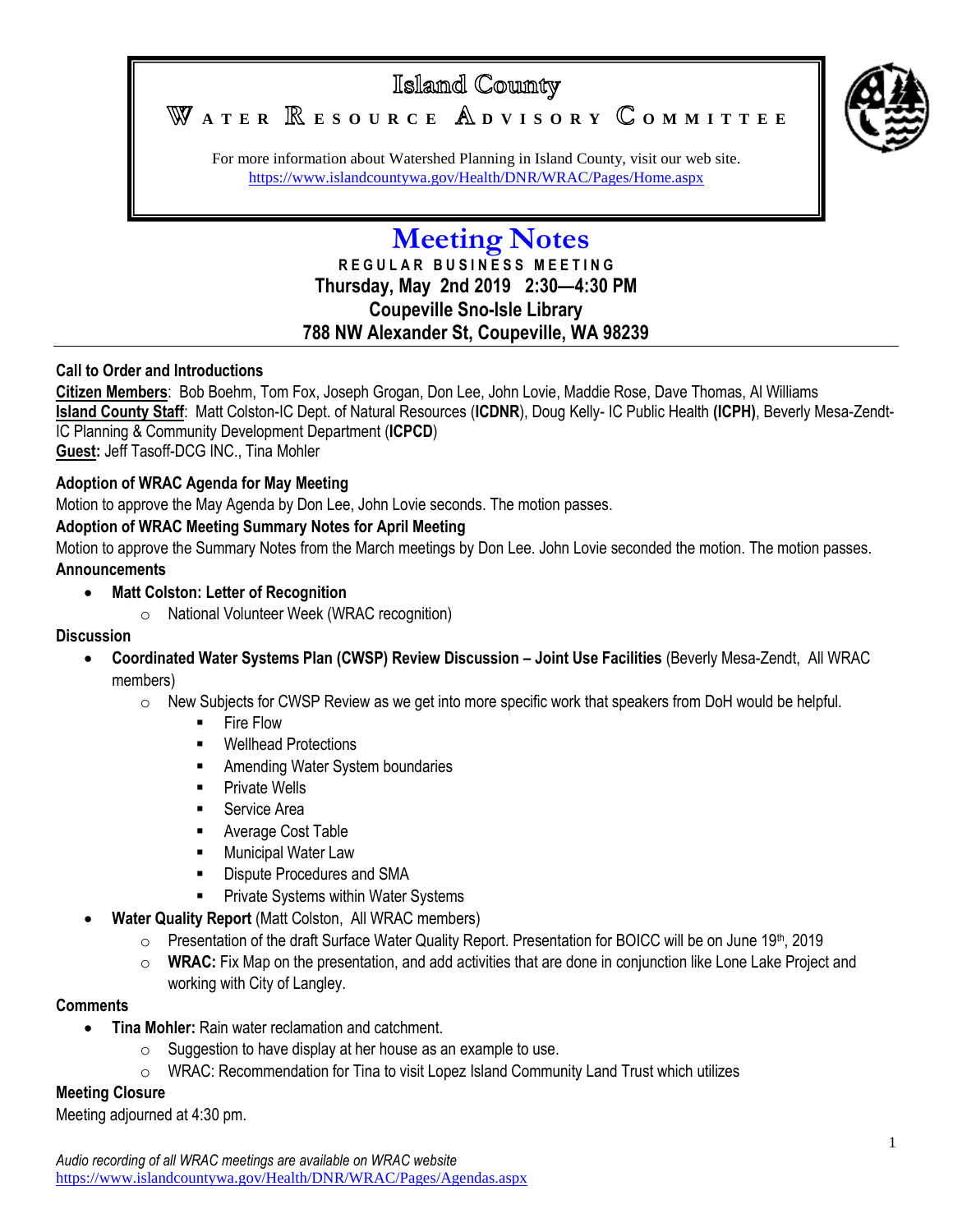# Island County



WATER **RESOURCE** ADVISORY COMMITTEE

For more information about Watershed Planning in Island County, visit our web site. <https://www.islandcountywa.gov/Health/DNR/WRAC/Pages/Home.aspx>

# **Meeting Notes R E G U L A R B U S I N E S S M E E T I N G Thursday, May 2nd 2019 2:30—4:30 PM Coupeville Sno-Isle Library 788 NW Alexander St, Coupeville, WA 98239**

## **Call to Order and Introductions**

**Citizen Members**: Bob Boehm, Tom Fox, Joseph Grogan, Don Lee, John Lovie, Maddie Rose, Dave Thomas, Al Williams **Island County Staff**: Matt Colston-IC Dept. of Natural Resources (**ICDNR**), Doug Kelly- IC Public Health **(ICPH)**, Beverly Mesa-Zendt-IC Planning & Community Development Department (**ICPCD**) **Guest:** Jeff Tasoff-DCG INC., Tina Mohler

#### **Adoption of WRAC Agenda for May Meeting**

Motion to approve the May Agenda by Don Lee, John Lovie seconds. The motion passes.

## **Adoption of WRAC Meeting Summary Notes for April Meeting**

Motion to approve the Summary Notes from the March meetings by Don Lee. John Lovie seconded the motion. The motion passes. **Announcements**

**Matt Colston: Letter of Recognition**

o National Volunteer Week (WRAC recognition)

#### **Discussion**

- **Coordinated Water Systems Plan (CWSP) Review Discussion – Joint Use Facilities** (Beverly Mesa-Zendt, All WRAC members)
	- $\circ$  New Subjects for CWSP Review as we get into more specific work that speakers from DoH would be helpful.
		- **Fire Flow**
		- Wellhead Protections
		- **EXECUTE:** Amending Water System boundaries
		- **Private Wells**
		- **Service Area**
		- **Average Cost Table**
		- **Municipal Water Law**
		- **Dispute Procedures and SMA**
		- **Private Systems within Water Systems**
- **Water Quality Report** (Matt Colston, All WRAC members)
	- o Presentation of the draft Surface Water Quality Report. Presentation for BOICC will be on June 19th, 2019
	- o **WRAC:** Fix Map on the presentation, and add activities that are done in conjunction like Lone Lake Project and working with City of Langley.

#### **Comments**

- **Tina Mohler:** Rain water reclamation and catchment.
	- $\circ$  Suggestion to have display at her house as an example to use.
	- $\circ$  WRAC: Recommendation for Tina to visit Lopez Island Community Land Trust which utilizes

#### **Meeting Closure**

Meeting adjourned at 4:30 pm.